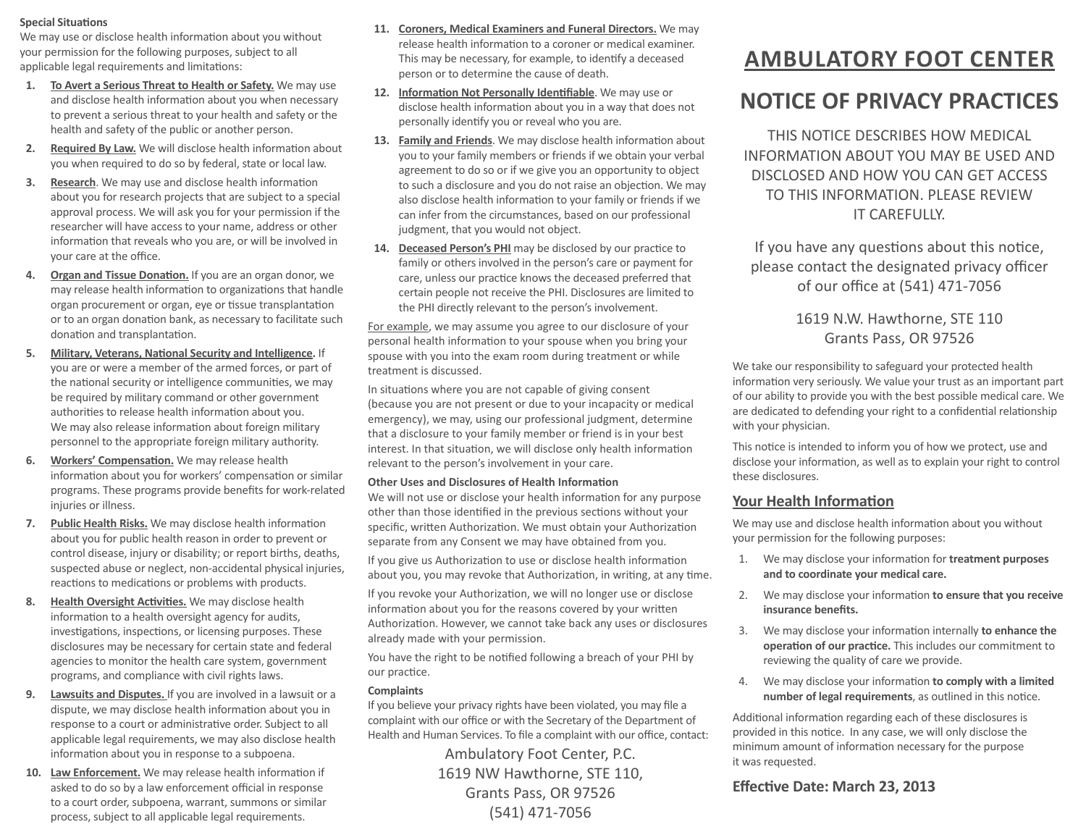#### **Special Situations**

We may use or disclose health information about you without your permission for the following purposes, subject to all applicable legal requirements and limitations:

- **1. To Avert a Serious Threat to Health or Safety.** We may use and disclose health information about you when necessary to prevent a serious threat to your health and safety or the health and safety of the public or another person.
- **2. Required By Law.** We will disclose health information about you when required to do so by federal, state or local law.
- **3. Research**. We may use and disclose health information about you for research projects that are subject to a special approval process. We will ask you for your permission if the researcher will have access to your name, address or other information that reveals who you are, or will be involved in your care at the office.
- **4. Organ and Tissue Donation.** If you are an organ donor, we may release health information to organizations that handle organ procurement or organ, eye or tissue transplantation or to an organ donation bank, as necessary to facilitate such donation and transplantation.
- **5. Military, Veterans, National Security and Intelligence.** If you are or were a member of the armed forces, or part of the national security or intelligence communities, we may be required by military command or other government authorities to release health information about you. We may also release information about foreign military personnel to the appropriate foreign military authority.
- **6. Workers' Compensation.** We may release health information about you for workers' compensation or similar programs. These programs provide benefits for work-related injuries or illness.
- **7. Public Health Risks.** We may disclose health information about you for public health reason in order to prevent or control disease, injury or disability; or report births, deaths, suspected abuse or neglect, non-accidental physical injuries, reactions to medications or problems with products.
- **8. Health Oversight Activities.** We may disclose health information to a health oversight agency for audits, investigations, inspections, or licensing purposes. These disclosures may be necessary for certain state and federal agencies to monitor the health care system, government programs, and compliance with civil rights laws.
- **9. Lawsuits and Disputes.** If you are involved in a lawsuit or a dispute, we may disclose health information about you in response to a court or administrative order. Subject to all applicable legal requirements, we may also disclose health information about you in response to a subpoena.
- **10. Law Enforcement.** We may release health information if asked to do so by a law enforcement official in response to a court order, subpoena, warrant, summons or similar process, subject to all applicable legal requirements.
- **11. Coroners, Medical Examiners and Funeral Directors.** We may release health information to a coroner or medical examiner. This may be necessary, for example, to identify a deceased person or to determine the cause of death.
- **12. Information Not Personally Identifiable**. We may use or disclose health information about you in a way that does not personally identify you or reveal who you are.
- **13. Family and Friends**. We may disclose health information about you to your family members or friends if we obtain your verbal agreement to do so or if we give you an opportunity to object to such a disclosure and you do not raise an objection. We may also disclose health information to your family or friends if we can infer from the circumstances, based on our professional judgment, that you would not object.
- **14. Deceased Person's PHI** may be disclosed by our practice to family or others involved in the person's care or payment for care, unless our practice knows the deceased preferred that certain people not receive the PHI. Disclosures are limited to the PHI directly relevant to the person's involvement.

For example, we may assume you agree to our disclosure of your personal health information to your spouse when you bring your spouse with you into the exam room during treatment or while treatment is discussed.

In situations where you are not capable of giving consent (because you are not present or due to your incapacity or medical emergency), we may, using our professional judgment, determine that a disclosure to your family member or friend is in your best interest. In that situation, we will disclose only health information relevant to the person's involvement in your care.

# **Other Uses and Disclosures of Health Information**

We will not use or disclose your health information for any purpose other than those identified in the previous sections without your specific, written Authorization. We must obtain your Authorization separate from any Consent we may have obtained from you.

If you give us Authorization to use or disclose health information about you, you may revoke that Authorization, in writing, at any time.

If you revoke your Authorization, we will no longer use or disclose information about you for the reasons covered by your written Authorization. However, we cannot take back any uses or disclosures already made with your permission.

You have the right to be notified following a breach of your PHI by our practice.

# **Complaints**

If you believe your privacy rights have been violated, you may file a complaint with our office or with the Secretary of the Department of Health and Human Services. To file a complaint with our office, contact:

> Ambulatory Foot Center, P.C. 1619 NW Hawthorne, STE 110, Grants Pass, OR 97526 (541) 471-7056

# **AMBULATORY FOOT CENTER**

# **NOTICE OF PRIVACY PRACTICES**

THIS NOTICE DESCRIBES HOW MEDICAL INFORMATION ABOUT YOU MAY BE USED AND DISCLOSED AND HOW YOU CAN GET ACCESS TO THIS INFORMATION. PLEASE REVIEW IT CAREFULLY.

If you have any questions about this notice, please contact the designated privacy officer of our office at (541) 471-7056

# 1619 N.W. Hawthorne, STE 110 Grants Pass, OR 97526

We take our responsibility to safeguard your protected health information very seriously. We value your trust as an important part of our ability to provide you with the best possible medical care. We are dedicated to defending your right to a confidential relationship with your physician.

This notice is intended to inform you of how we protect, use and disclose your information, as well as to explain your right to control these disclosures.

# **Your Health Information**

We may use and disclose health information about you without your permission for the following purposes:

- 1. We may disclose your information for **treatment purposes and to coordinate your medical care.**
- 2. We may disclose your information **to ensure that you receive insurance benefits.**
- 3. We may disclose your information internally **to enhance the operation of our practice.** This includes our commitment to reviewing the quality of care we provide.
- 4. We may disclose your information **to comply with a limited number of legal requirements**, as outlined in this notice.

Additional information regarding each of these disclosures is provided in this notice. In any case, we will only disclose the minimum amount of information necessary for the purpose it was requested.

# **Effective Date: March 23, 2013**